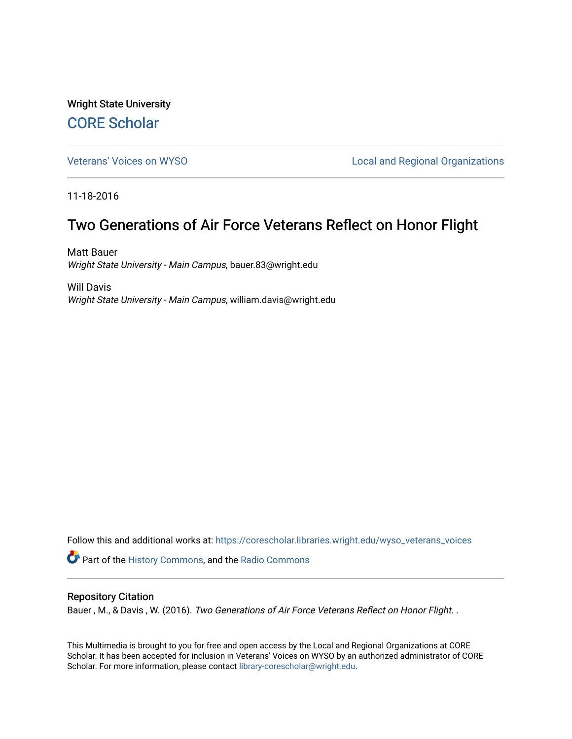Wright State University [CORE Scholar](https://corescholar.libraries.wright.edu/)

[Veterans' Voices on WYSO](https://corescholar.libraries.wright.edu/wyso_veterans_voices) **Local and Regional Organizations** 

11-18-2016

## Two Generations of Air Force Veterans Reflect on Honor Flight

Matt Bauer Wright State University - Main Campus, bauer.83@wright.edu

Will Davis Wright State University - Main Campus, william.davis@wright.edu

Follow this and additional works at: [https://corescholar.libraries.wright.edu/wyso\\_veterans\\_voices](https://corescholar.libraries.wright.edu/wyso_veterans_voices?utm_source=corescholar.libraries.wright.edu%2Fwyso_veterans_voices%2F19&utm_medium=PDF&utm_campaign=PDFCoverPages) **Part of the [History Commons,](http://network.bepress.com/hgg/discipline/489?utm_source=corescholar.libraries.wright.edu%2Fwyso_veterans_voices%2F19&utm_medium=PDF&utm_campaign=PDFCoverPages) and the Radio Commons** 

## Repository Citation

Bauer, M., & Davis, W. (2016). Two Generations of Air Force Veterans Reflect on Honor Flight. .

This Multimedia is brought to you for free and open access by the Local and Regional Organizations at CORE Scholar. It has been accepted for inclusion in Veterans' Voices on WYSO by an authorized administrator of CORE Scholar. For more information, please contact [library-corescholar@wright.edu](mailto:library-corescholar@wright.edu).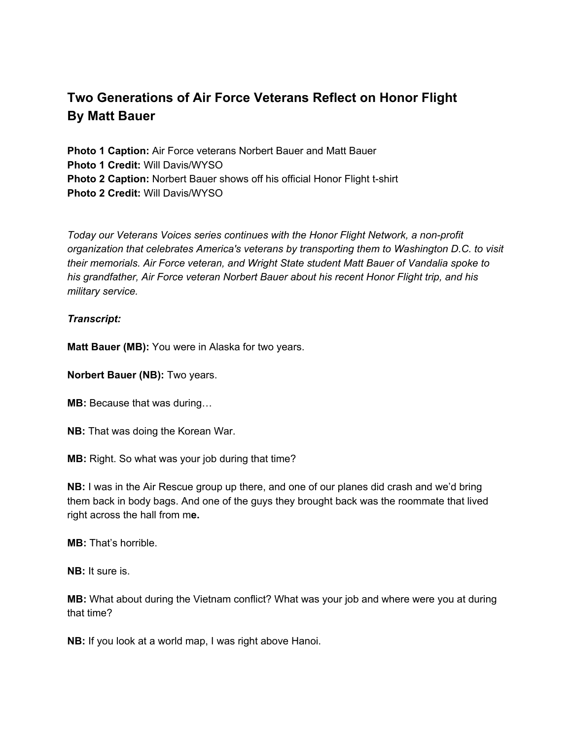## **Two Generations of Air Force Veterans Reflect on Honor Flight By Matt Bauer**

**Photo 1 Caption:** Air Force veterans Norbert Bauer and Matt Bauer **Photo 1 Credit:** Will Davis/WYSO **Photo 2 Caption:** Norbert Bauer shows off his official Honor Flight t-shirt **Photo 2 Credit:** Will Davis/WYSO

*Today our Veterans Voices series continues with the Honor Flight Network, a non-profit organization that celebrates America's veterans by transporting them to Washington D.C. to visit their memorials. Air Force veteran, and Wright State student Matt Bauer of Vandalia spoke to his grandfather, Air Force veteran Norbert Bauer about his recent Honor Flight trip, and his military service.*

## *Transcript:*

**Matt Bauer (MB):** You were in Alaska for two years.

**Norbert Bauer (NB):** Two years.

**MB:** Because that was during...

**NB:** That was doing the Korean War.

**MB:** Right. So what was your job during that time?

**NB:** I was in the Air Rescue group up there, and one of our planes did crash and we'd bring them back in body bags. And one of the guys they brought back was the roommate that lived right across the hall from m**e.**

**MB:** That's horrible.

**NB:** It sure is.

**MB:** What about during the Vietnam conflict? What was your job and where were you at during that time?

**NB:** If you look at a world map, I was right above Hanoi.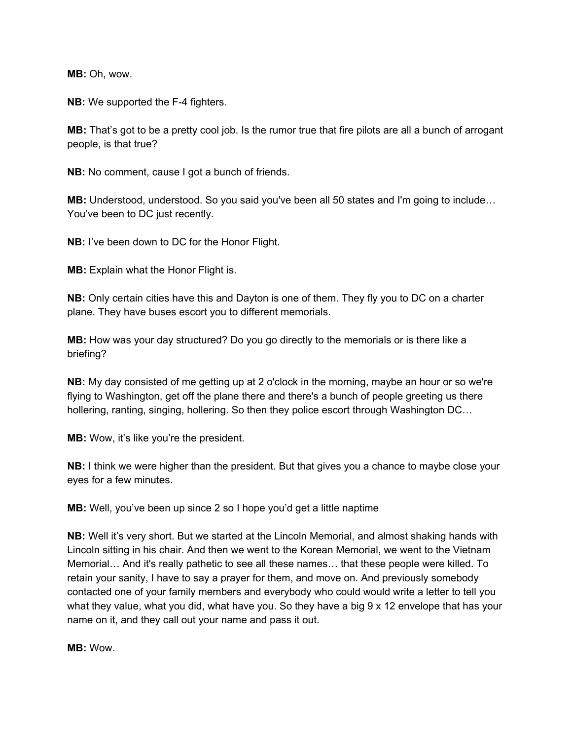**MB:** Oh, wow.

**NB:** We supported the F-4 fighters.

**MB:** That's got to be a pretty cool job. Is the rumor true that fire pilots are all a bunch of arrogant people, is that true?

**NB:** No comment, cause I got a bunch of friends.

**MB:** Understood, understood. So you said you've been all 50 states and I'm going to include… You've been to DC just recently.

**NB:** I've been down to DC for the Honor Flight.

**MB:** Explain what the Honor Flight is.

**NB:** Only certain cities have this and Dayton is one of them. They fly you to DC on a charter plane. They have buses escort you to different memorials.

**MB:** How was your day structured? Do you go directly to the memorials or is there like a briefing?

**NB:** My day consisted of me getting up at 2 o'clock in the morning, maybe an hour or so we're flying to Washington, get off the plane there and there's a bunch of people greeting us there hollering, ranting, singing, hollering. So then they police escort through Washington DC…

**MB:** Wow, it's like you're the president.

**NB:** I think we were higher than the president. But that gives you a chance to maybe close your eyes for a few minutes.

**MB:** Well, you've been up since 2 so I hope you'd get a little naptime

**NB:** Well it's very short. But we started at the Lincoln Memorial, and almost shaking hands with Lincoln sitting in his chair. And then we went to the Korean Memorial, we went to the Vietnam Memorial… And it's really pathetic to see all these names… that these people were killed. To retain your sanity, I have to say a prayer for them, and move on. And previously somebody contacted one of your family members and everybody who could would write a letter to tell you what they value, what you did, what have you. So they have a big 9 x 12 envelope that has your name on it, and they call out your name and pass it out.

**MB:** Wow.